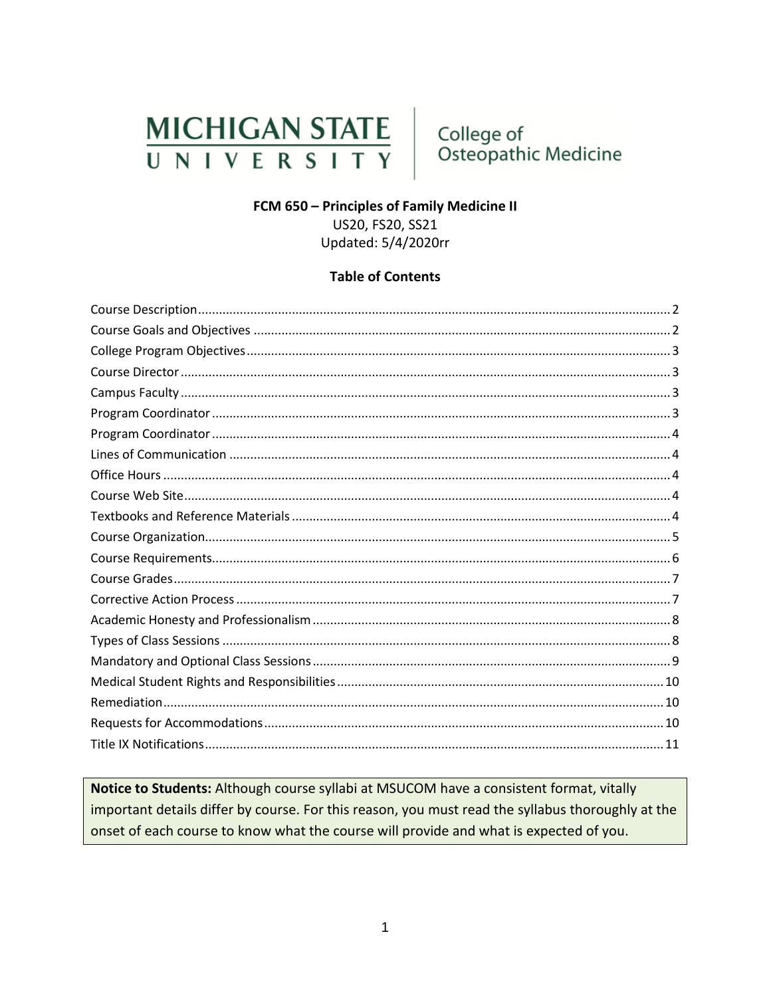# **MICHIGAN STATE** UNIVERSITY

College of Osteopathic Medicine

#### FCM 650 - Principles of Family Medicine II

US20, FS20, SS21 Updated: 5/4/2020rr

#### **Table of Contents**

Notice to Students: Although course syllabi at MSUCOM have a consistent format, vitally important details differ by course. For this reason, you must read the syllabus thoroughly at the onset of each course to know what the course will provide and what is expected of you.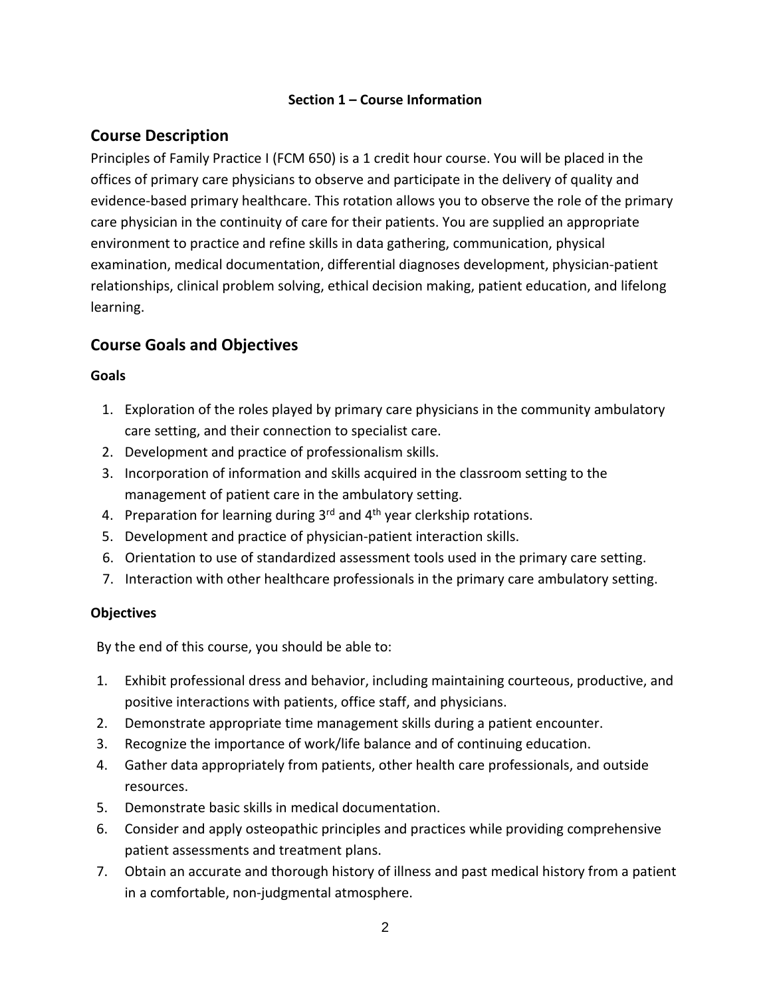#### **Section 1 – Course Information**

## <span id="page-1-0"></span>**Course Description**

Principles of Family Practice I (FCM 650) is a 1 credit hour course. You will be placed in the offices of primary care physicians to observe and participate in the delivery of quality and evidence-based primary healthcare. This rotation allows you to observe the role of the primary care physician in the continuity of care for their patients. You are supplied an appropriate environment to practice and refine skills in data gathering, communication, physical examination, medical documentation, differential diagnoses development, physician-patient relationships, clinical problem solving, ethical decision making, patient education, and lifelong learning.

# <span id="page-1-1"></span>**Course Goals and Objectives**

#### **Goals**

- 1. Exploration of the roles played by primary care physicians in the community ambulatory care setting, and their connection to specialist care.
- 2. Development and practice of professionalism skills.
- 3. Incorporation of information and skills acquired in the classroom setting to the management of patient care in the ambulatory setting.
- 4. Preparation for learning during  $3<sup>rd</sup>$  and  $4<sup>th</sup>$  year clerkship rotations.
- 5. Development and practice of physician-patient interaction skills.
- 6. Orientation to use of standardized assessment tools used in the primary care setting.
- 7. Interaction with other healthcare professionals in the primary care ambulatory setting.

#### **Objectives**

By the end of this course, you should be able to:

- 1. Exhibit professional dress and behavior, including maintaining courteous, productive, and positive interactions with patients, office staff, and physicians.
- 2. Demonstrate appropriate time management skills during a patient encounter.
- 3. Recognize the importance of work/life balance and of continuing education.
- 4. Gather data appropriately from patients, other health care professionals, and outside resources.
- 5. Demonstrate basic skills in medical documentation.
- 6. Consider and apply osteopathic principles and practices while providing comprehensive patient assessments and treatment plans.
- 7. Obtain an accurate and thorough history of illness and past medical history from a patient in a comfortable, non-judgmental atmosphere.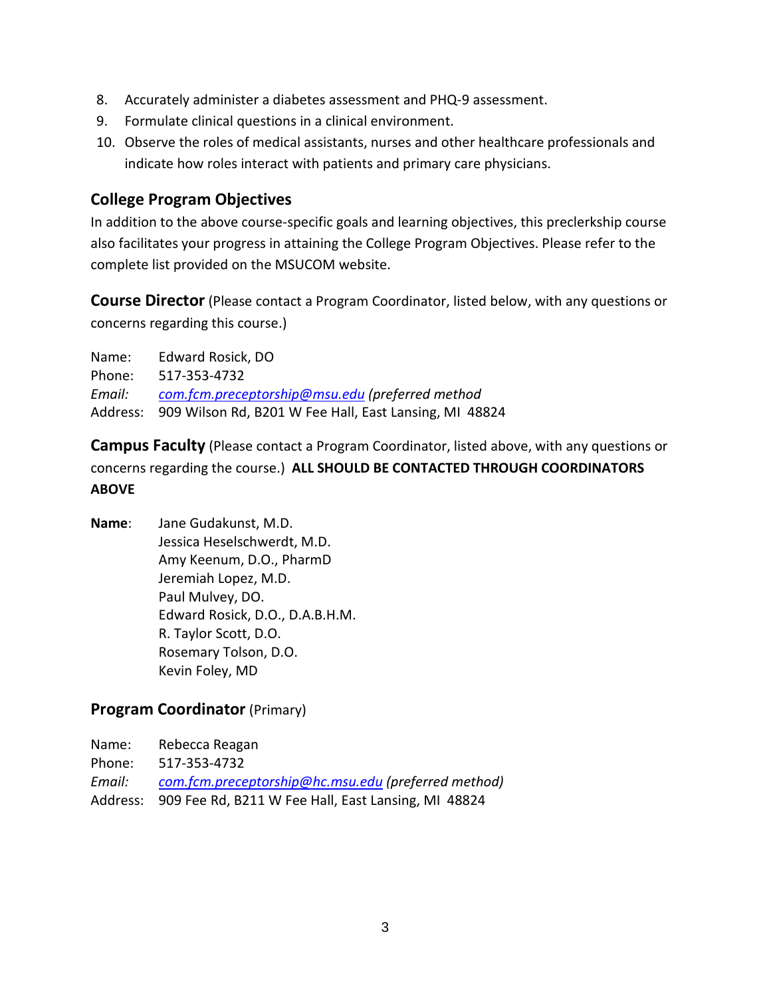- 8. Accurately administer a diabetes assessment and PHQ-9 assessment.
- 9. Formulate clinical questions in a clinical environment.
- 10. Observe the roles of medical assistants, nurses and other healthcare professionals and indicate how roles interact with patients and primary care physicians.

#### <span id="page-2-0"></span>**College Program Objectives**

In addition to the above course-specific goals and learning objectives, this preclerkship course also facilitates your progress in attaining the College Program Objectives. Please refer to the complete list provided on the MSUCOM website.

<span id="page-2-1"></span>**Course Director** (Please contact a Program Coordinator, listed below, with any questions or concerns regarding this course.)

Name: Edward Rosick, DO Phone: 517-353-4732 *Email: [com.fcm.preceptorship@msu.edu](mailto:com.fcm.preceptorship@msu.edu) (preferred method* Address: 909 Wilson Rd, B201 W Fee Hall, East Lansing, MI 48824

<span id="page-2-2"></span>**Campus Faculty** (Please contact a Program Coordinator, listed above, with any questions or concerns regarding the course.) **ALL SHOULD BE CONTACTED THROUGH COORDINATORS ABOVE**

**Name**: Jane Gudakunst, M.D. Jessica Heselschwerdt, M.D. Amy Keenum, D.O., PharmD Jeremiah Lopez, M.D. Paul Mulvey, DO. Edward Rosick, D.O., D.A.B.H.M. R. Taylor Scott, D.O. Rosemary Tolson, D.O. Kevin Foley, MD

#### <span id="page-2-3"></span>**Program Coordinator** (Primary)

Name: Rebecca Reagan Phone: 517-353-4732 *Email: [com.fcm.preceptorship@hc.msu.edu](mailto:com.fcm.preceptorship@hc.msu.edu) (preferred method)* Address: 909 Fee Rd, B211 W Fee Hall, East Lansing, MI 48824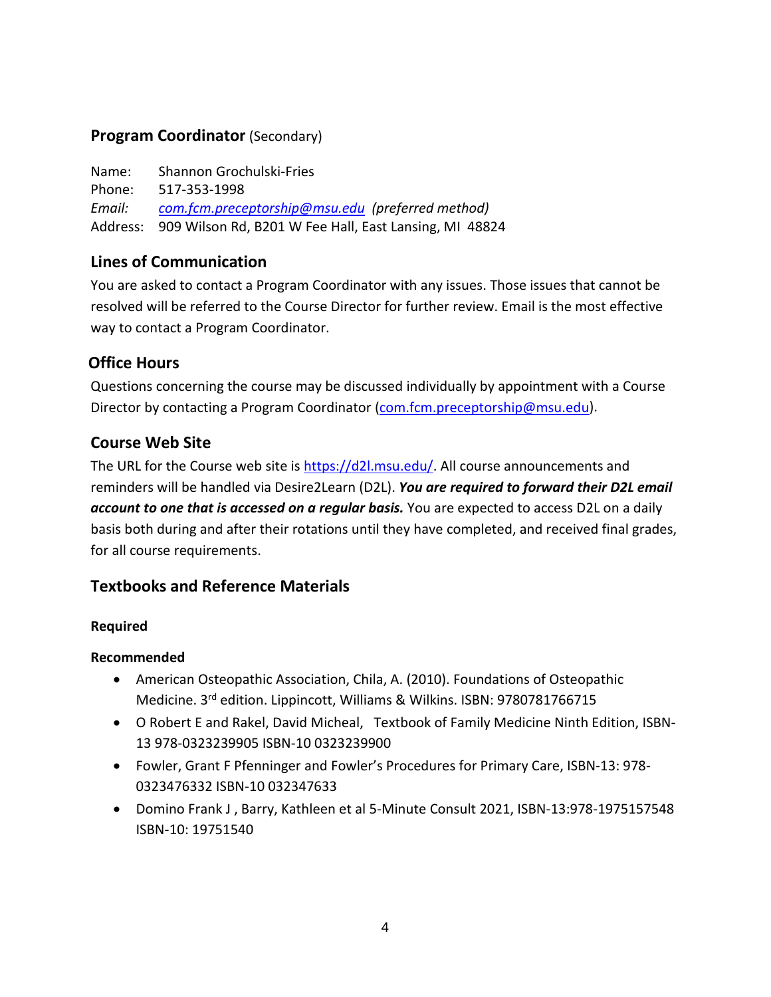#### <span id="page-3-0"></span>**Program Coordinator** (Secondary)

Name: Shannon Grochulski-Fries Phone: 517-353-1998 *Email: [com.fcm.preceptorship@msu.edu](mailto:com.fcm.preceptorship@msu.edu) (preferred method)* Address: 909 Wilson Rd, B201 W Fee Hall, East Lansing, MI 48824

#### <span id="page-3-1"></span>**Lines of Communication**

You are asked to contact a Program Coordinator with any issues. Those issues that cannot be resolved will be referred to the Course Director for further review. Email is the most effective way to contact a Program Coordinator.

#### <span id="page-3-2"></span>**Office Hours**

Questions concerning the course may be discussed individually by appointment with a Course Director by contacting a Program Coordinator [\(com.fcm.preceptorship@msu.edu\)](mailto:com.fcm.preceptorship@msu.edu).

#### <span id="page-3-3"></span>**Course Web Site**

The URL for the Course web site is [https://d2l.msu.edu/.](https://d2l.msu.edu/) All course announcements and reminders will be handled via Desire2Learn (D2L). *You are required to forward their D2L email account to one that is accessed on a regular basis.* You are expected to access D2L on a daily basis both during and after their rotations until they have completed, and received final grades, for all course requirements.

# <span id="page-3-4"></span>**Textbooks and Reference Materials**

#### **Required**

#### **Recommended**

- American Osteopathic Association, Chila, A. (2010). Foundations of Osteopathic Medicine. 3<sup>rd</sup> edition. Lippincott, Williams & Wilkins. ISBN: 9780781766715
- O Robert E and Rakel, David Micheal, Textbook of Family Medicine Ninth Edition, ISBN-13 978-0323239905 ISBN-10 0323239900
- Fowler, Grant F Pfenninger and Fowler's Procedures for Primary Care, ISBN-13: 978- 0323476332 ISBN-10 032347633
- Domino Frank J , Barry, Kathleen et al 5-Minute Consult 2021, ISBN-13:978-1975157548 ISBN-10: 19751540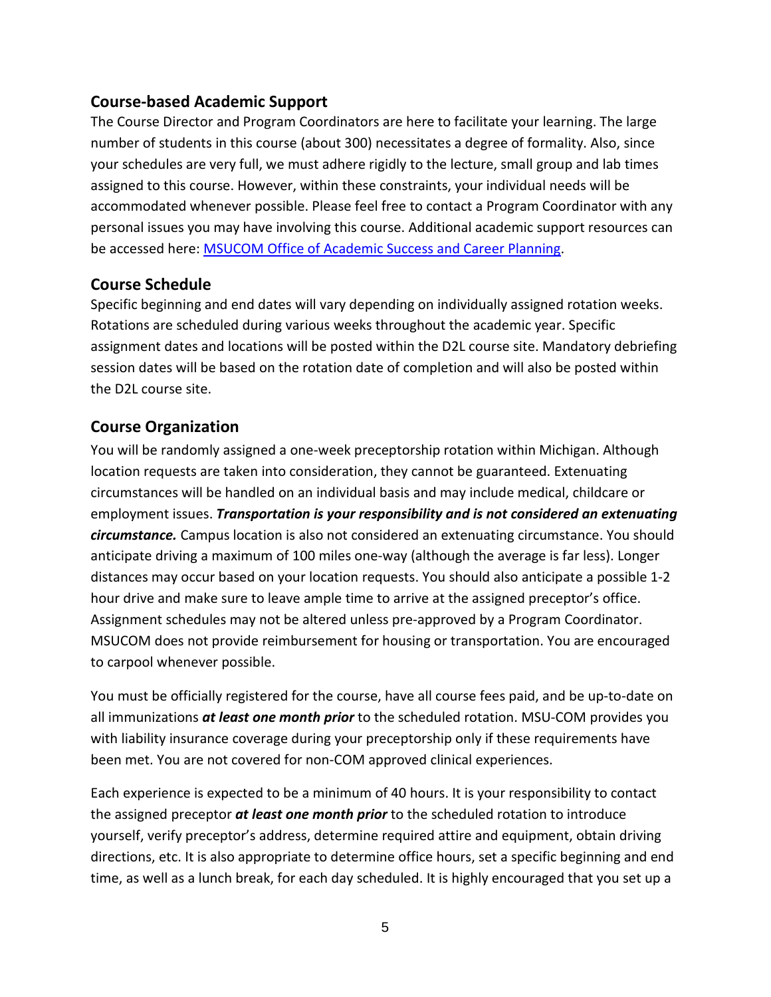## **Course-based Academic Support**

The Course Director and Program Coordinators are here to facilitate your learning. The large number of students in this course (about 300) necessitates a degree of formality. Also, since your schedules are very full, we must adhere rigidly to the lecture, small group and lab times assigned to this course. However, within these constraints, your individual needs will be accommodated whenever possible. Please feel free to contact a Program Coordinator with any personal issues you may have involving this course. Additional academic support resources can be accessed here: [MSUCOM Office of Academic Success and Career Planning.](http://com.msu.edu/Students/Academic_Career_Guidance/index.htm)

#### **Course Schedule**

Specific beginning and end dates will vary depending on individually assigned rotation weeks. Rotations are scheduled during various weeks throughout the academic year. Specific assignment dates and locations will be posted within the D2L course site. Mandatory debriefing session dates will be based on the rotation date of completion and will also be posted within the D2L course site.

# <span id="page-4-0"></span>**Course Organization**

You will be randomly assigned a one-week preceptorship rotation within Michigan. Although location requests are taken into consideration, they cannot be guaranteed. Extenuating circumstances will be handled on an individual basis and may include medical, childcare or employment issues. *Transportation is your responsibility and is not considered an extenuating circumstance.* Campus location is also not considered an extenuating circumstance. You should anticipate driving a maximum of 100 miles one-way (although the average is far less). Longer distances may occur based on your location requests. You should also anticipate a possible 1-2 hour drive and make sure to leave ample time to arrive at the assigned preceptor's office. Assignment schedules may not be altered unless pre-approved by a Program Coordinator. MSUCOM does not provide reimbursement for housing or transportation. You are encouraged to carpool whenever possible.

You must be officially registered for the course, have all course fees paid, and be up-to-date on all immunizations *at least one month prior* to the scheduled rotation. MSU-COM provides you with liability insurance coverage during your preceptorship only if these requirements have been met. You are not covered for non-COM approved clinical experiences.

Each experience is expected to be a minimum of 40 hours. It is your responsibility to contact the assigned preceptor *at least one month prior* to the scheduled rotation to introduce yourself, verify preceptor's address, determine required attire and equipment, obtain driving directions, etc. It is also appropriate to determine office hours, set a specific beginning and end time, as well as a lunch break, for each day scheduled. It is highly encouraged that you set up a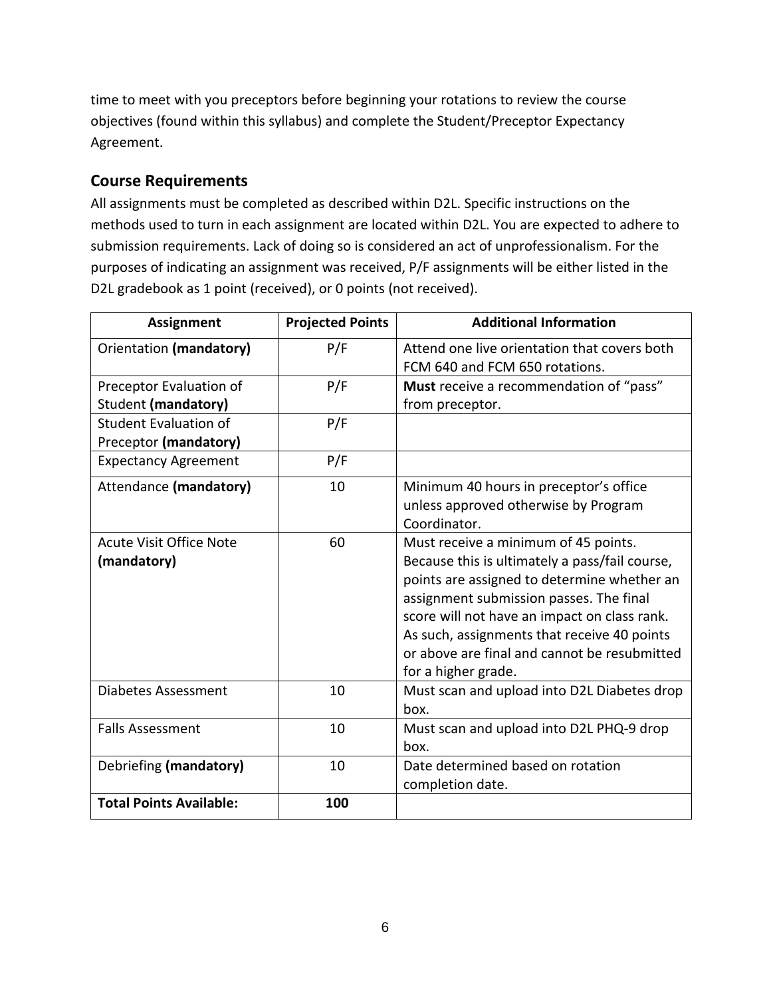time to meet with you preceptors before beginning your rotations to review the course objectives (found within this syllabus) and complete the Student/Preceptor Expectancy Agreement.

## <span id="page-5-0"></span>**Course Requirements**

All assignments must be completed as described within D2L. Specific instructions on the methods used to turn in each assignment are located within D2L. You are expected to adhere to submission requirements. Lack of doing so is considered an act of unprofessionalism. For the purposes of indicating an assignment was received, P/F assignments will be either listed in the D2L gradebook as 1 point (received), or 0 points (not received).

| <b>Assignment</b>              | <b>Projected Points</b> | <b>Additional Information</b>                  |
|--------------------------------|-------------------------|------------------------------------------------|
| Orientation (mandatory)        | P/F                     | Attend one live orientation that covers both   |
|                                |                         | FCM 640 and FCM 650 rotations.                 |
| Preceptor Evaluation of        | P/F                     | Must receive a recommendation of "pass"        |
| Student (mandatory)            |                         | from preceptor.                                |
| <b>Student Evaluation of</b>   | P/F                     |                                                |
| Preceptor (mandatory)          |                         |                                                |
| <b>Expectancy Agreement</b>    | P/F                     |                                                |
| Attendance (mandatory)         | 10                      | Minimum 40 hours in preceptor's office         |
|                                |                         | unless approved otherwise by Program           |
|                                |                         | Coordinator.                                   |
| <b>Acute Visit Office Note</b> | 60                      | Must receive a minimum of 45 points.           |
| (mandatory)                    |                         | Because this is ultimately a pass/fail course, |
|                                |                         | points are assigned to determine whether an    |
|                                |                         | assignment submission passes. The final        |
|                                |                         | score will not have an impact on class rank.   |
|                                |                         | As such, assignments that receive 40 points    |
|                                |                         | or above are final and cannot be resubmitted   |
|                                |                         | for a higher grade.                            |
| <b>Diabetes Assessment</b>     | 10                      | Must scan and upload into D2L Diabetes drop    |
|                                |                         | box.                                           |
| <b>Falls Assessment</b>        | 10                      | Must scan and upload into D2L PHQ-9 drop       |
|                                |                         | box.                                           |
| Debriefing (mandatory)         | 10                      | Date determined based on rotation              |
|                                |                         | completion date.                               |
| <b>Total Points Available:</b> | 100                     |                                                |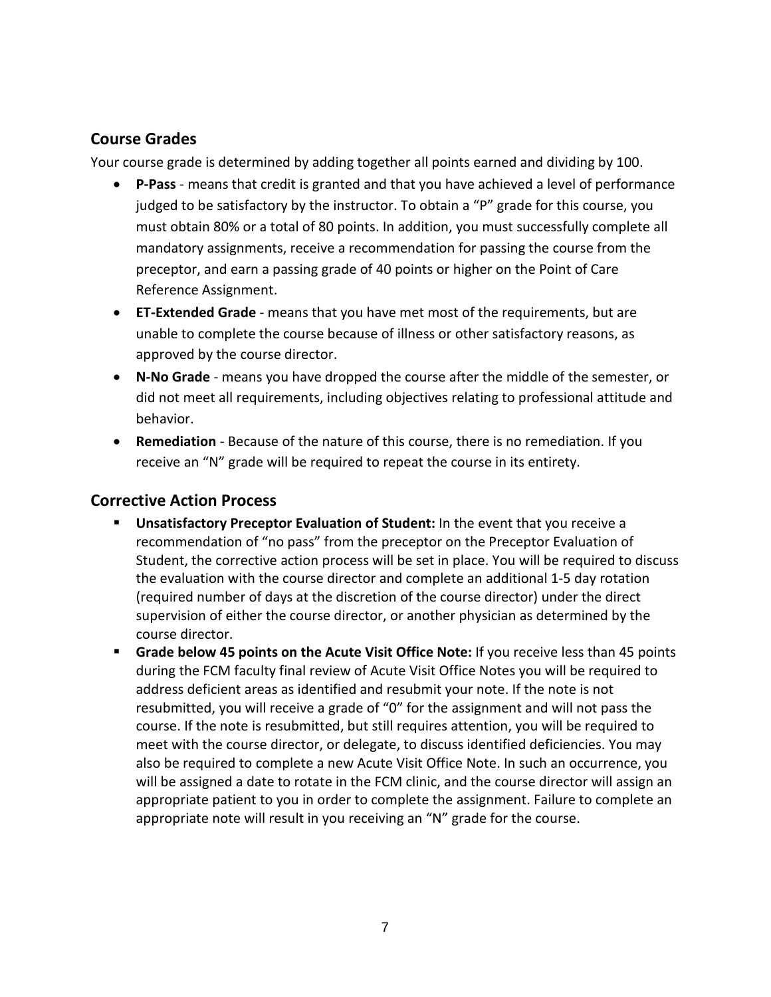## <span id="page-6-0"></span>**Course Grades**

Your course grade is determined by adding together all points earned and dividing by 100.

- **P-Pass** means that credit is granted and that you have achieved a level of performance judged to be satisfactory by the instructor. To obtain a "P" grade for this course, you must obtain 80% or a total of 80 points. In addition, you must successfully complete all mandatory assignments, receive a recommendation for passing the course from the preceptor, and earn a passing grade of 40 points or higher on the Point of Care Reference Assignment.
- **ET-Extended Grade** means that you have met most of the requirements, but are unable to complete the course because of illness or other satisfactory reasons, as approved by the course director.
- **N-No Grade** means you have dropped the course after the middle of the semester, or did not meet all requirements, including objectives relating to professional attitude and behavior.
- **Remediation** Because of the nature of this course, there is no remediation. If you receive an "N" grade will be required to repeat the course in its entirety.

#### <span id="page-6-1"></span>**Corrective Action Process**

- **Unsatisfactory Preceptor Evaluation of Student:** In the event that you receive a recommendation of "no pass" from the preceptor on the Preceptor Evaluation of Student, the corrective action process will be set in place. You will be required to discuss the evaluation with the course director and complete an additional 1-5 day rotation (required number of days at the discretion of the course director) under the direct supervision of either the course director, or another physician as determined by the course director.
- **Grade below 45 points on the Acute Visit Office Note:** If you receive less than 45 points during the FCM faculty final review of Acute Visit Office Notes you will be required to address deficient areas as identified and resubmit your note. If the note is not resubmitted, you will receive a grade of "0" for the assignment and will not pass the course. If the note is resubmitted, but still requires attention, you will be required to meet with the course director, or delegate, to discuss identified deficiencies. You may also be required to complete a new Acute Visit Office Note. In such an occurrence, you will be assigned a date to rotate in the FCM clinic, and the course director will assign an appropriate patient to you in order to complete the assignment. Failure to complete an appropriate note will result in you receiving an "N" grade for the course.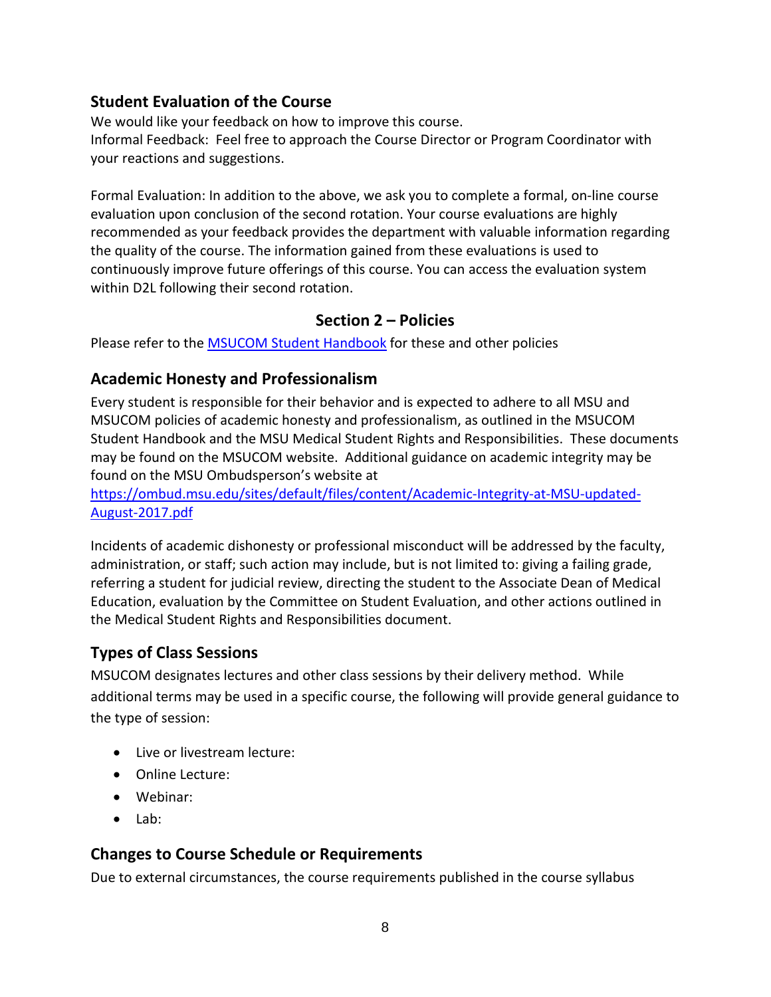#### **Student Evaluation of the Course**

We would like your feedback on how to improve this course. Informal Feedback: Feel free to approach the Course Director or Program Coordinator with your reactions and suggestions.

Formal Evaluation: In addition to the above, we ask you to complete a formal, on-line course evaluation upon conclusion of the second rotation. Your course evaluations are highly recommended as your feedback provides the department with valuable information regarding the quality of the course. The information gained from these evaluations is used to continuously improve future offerings of this course. You can access the evaluation system within D2L following their second rotation.

#### **Section 2 – Policies**

Please refer to the [MSUCOM Student Handbook](https://www.com.msu.edu/current-students/student-handbook) for these and other policies

#### <span id="page-7-0"></span>**Academic Honesty and Professionalism**

Every student is responsible for their behavior and is expected to adhere to all MSU and MSUCOM policies of academic honesty and professionalism, as outlined in the MSUCOM Student Handbook and the MSU Medical Student Rights and Responsibilities. These documents may be found on the MSUCOM website. Additional guidance on academic integrity may be found on the MSU Ombudsperson's website at

[https://ombud.msu.edu/sites/default/files/content/Academic-Integrity-at-MSU-updated-](https://ombud.msu.edu/sites/default/files/content/Academic-Integrity-at-MSU-updated-August-2017.pdf)[August-2017.pdf](https://ombud.msu.edu/sites/default/files/content/Academic-Integrity-at-MSU-updated-August-2017.pdf)

Incidents of academic dishonesty or professional misconduct will be addressed by the faculty, administration, or staff; such action may include, but is not limited to: giving a failing grade, referring a student for judicial review, directing the student to the Associate Dean of Medical Education, evaluation by the Committee on Student Evaluation, and other actions outlined in the Medical Student Rights and Responsibilities document.

# <span id="page-7-1"></span>**Types of Class Sessions**

MSUCOM designates lectures and other class sessions by their delivery method. While additional terms may be used in a specific course, the following will provide general guidance to the type of session:

- Live or livestream lecture:
- Online Lecture:
- Webinar:
- Lab:

# **Changes to Course Schedule or Requirements**

Due to external circumstances, the course requirements published in the course syllabus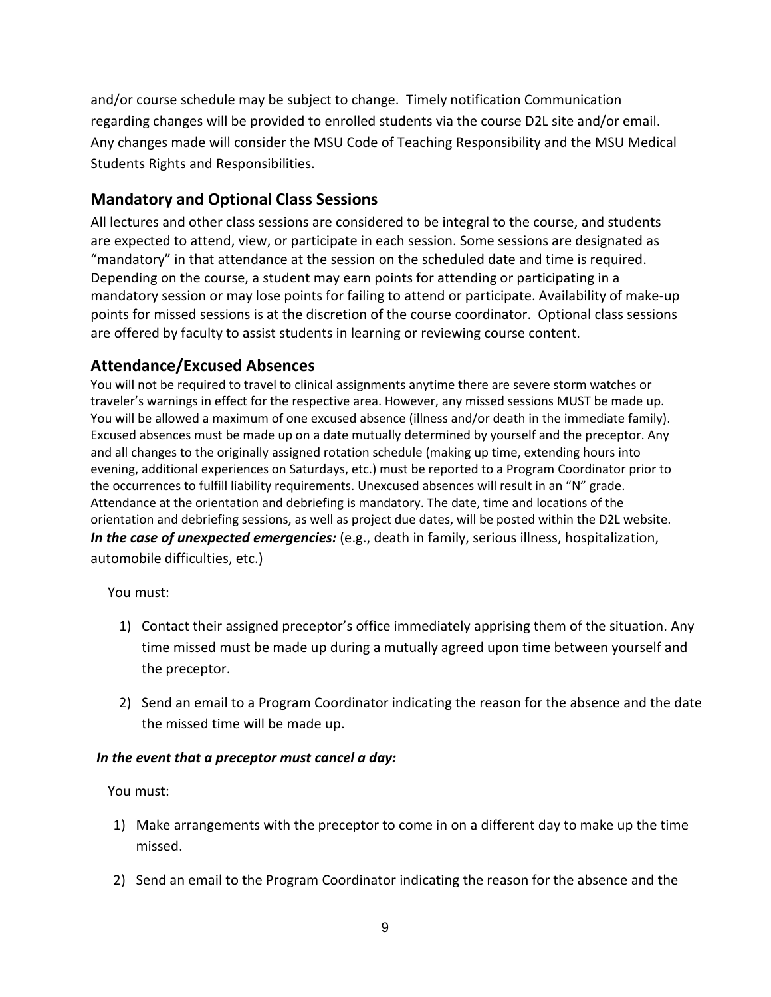and/or course schedule may be subject to change. Timely notification Communication regarding changes will be provided to enrolled students via the course D2L site and/or email. Any changes made will consider the MSU Code of Teaching Responsibility and the MSU Medical Students Rights and Responsibilities.

# <span id="page-8-0"></span>**Mandatory and Optional Class Sessions**

All lectures and other class sessions are considered to be integral to the course, and students are expected to attend, view, or participate in each session. Some sessions are designated as "mandatory" in that attendance at the session on the scheduled date and time is required. Depending on the course, a student may earn points for attending or participating in a mandatory session or may lose points for failing to attend or participate. Availability of make-up points for missed sessions is at the discretion of the course coordinator. Optional class sessions are offered by faculty to assist students in learning or reviewing course content.

# **Attendance/Excused Absences**

You will not be required to travel to clinical assignments anytime there are severe storm watches or traveler's warnings in effect for the respective area. However, any missed sessions MUST be made up. You will be allowed a maximum of one excused absence (illness and/or death in the immediate family). Excused absences must be made up on a date mutually determined by yourself and the preceptor. Any and all changes to the originally assigned rotation schedule (making up time, extending hours into evening, additional experiences on Saturdays, etc.) must be reported to a Program Coordinator prior to the occurrences to fulfill liability requirements. Unexcused absences will result in an "N" grade. Attendance at the orientation and debriefing is mandatory. The date, time and locations of the orientation and debriefing sessions, as well as project due dates, will be posted within the D2L website. *In the case of unexpected emergencies:* (e.g., death in family, serious illness, hospitalization, automobile difficulties, etc.)

You must:

- 1) Contact their assigned preceptor's office immediately apprising them of the situation. Any time missed must be made up during a mutually agreed upon time between yourself and the preceptor.
- 2) Send an email to a Program Coordinator indicating the reason for the absence and the date the missed time will be made up.

#### *In the event that a preceptor must cancel a day:*

You must:

- 1) Make arrangements with the preceptor to come in on a different day to make up the time missed.
- 2) Send an email to the Program Coordinator indicating the reason for the absence and the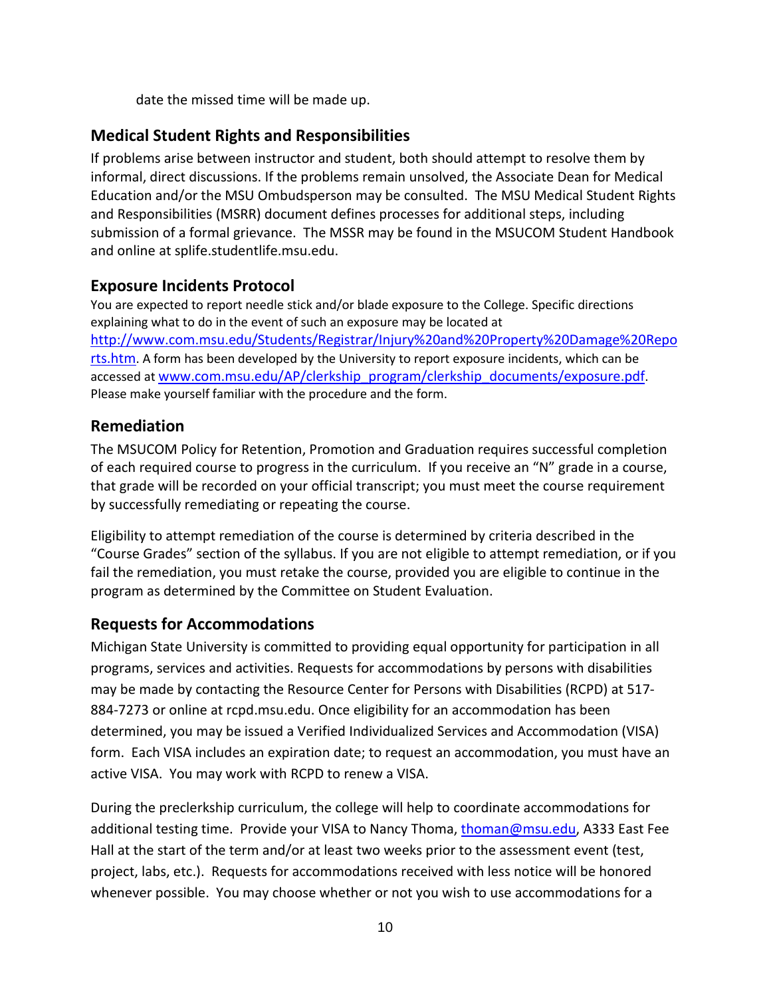date the missed time will be made up.

#### <span id="page-9-0"></span>**Medical Student Rights and Responsibilities**

If problems arise between instructor and student, both should attempt to resolve them by informal, direct discussions. If the problems remain unsolved, the Associate Dean for Medical Education and/or the MSU Ombudsperson may be consulted. The MSU Medical Student Rights and Responsibilities (MSRR) document defines processes for additional steps, including submission of a formal grievance. The MSSR may be found in the MSUCOM Student Handbook and online at splife.studentlife.msu.edu.

#### **Exposure Incidents Protocol**

You are expected to report needle stick and/or blade exposure to the College. Specific directions explaining what to do in the event of such an exposure may be located at [http://www.com.msu.edu/Students/Registrar/Injury%20and%20Property%20Damage%20Repo](http://www.com.msu.edu/Students/Registrar/Injury%20and%20Property%20Damage%20Reports.htm) [rts.htm.](http://www.com.msu.edu/Students/Registrar/Injury%20and%20Property%20Damage%20Reports.htm) A form has been developed by the University to report exposure incidents, which can be accessed at [www.com.msu.edu/AP/clerkship\\_program/clerkship\\_documents/exposure.pdf.](http://www.com.msu.edu/AP/clerkship_program/clerkship_documents/exposure.pdf) Please make yourself familiar with the procedure and the form.

#### <span id="page-9-1"></span>**Remediation**

The MSUCOM Policy for Retention, Promotion and Graduation requires successful completion of each required course to progress in the curriculum. If you receive an "N" grade in a course, that grade will be recorded on your official transcript; you must meet the course requirement by successfully remediating or repeating the course.

Eligibility to attempt remediation of the course is determined by criteria described in the "Course Grades" section of the syllabus. If you are not eligible to attempt remediation, or if you fail the remediation, you must retake the course, provided you are eligible to continue in the program as determined by the Committee on Student Evaluation.

# <span id="page-9-2"></span>**Requests for Accommodations**

Michigan State University is committed to providing equal opportunity for participation in all programs, services and activities. Requests for accommodations by persons with disabilities may be made by contacting the Resource Center for Persons with Disabilities (RCPD) at 517- 884-7273 or online at rcpd.msu.edu. Once eligibility for an accommodation has been determined, you may be issued a Verified Individualized Services and Accommodation (VISA) form. Each VISA includes an expiration date; to request an accommodation, you must have an active VISA. You may work with RCPD to renew a VISA.

During the preclerkship curriculum, the college will help to coordinate accommodations for additional testing time. Provide your VISA to Nancy Thoma, [thoman@msu.edu,](mailto:thoman@msu.edu) A333 East Fee Hall at the start of the term and/or at least two weeks prior to the assessment event (test, project, labs, etc.). Requests for accommodations received with less notice will be honored whenever possible. You may choose whether or not you wish to use accommodations for a